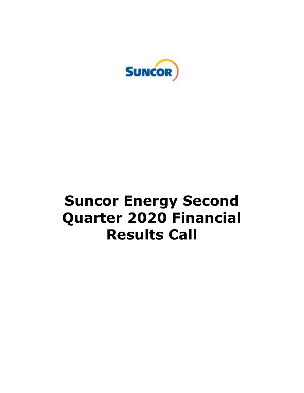

# **Suncor Energy Second Quarter 2020 Financial Results Call**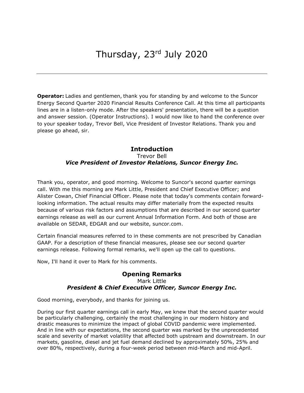**Operator:** Ladies and gentlemen, thank you for standing by and welcome to the Suncor Energy Second Quarter 2020 Financial Results Conference Call. At this time all participants lines are in a listen-only mode. After the speakers' presentation, there will be a question and answer session. (Operator Instructions). I would now like to hand the conference over to your speaker today, Trevor Bell, Vice President of Investor Relations. Thank you and please go ahead, sir.

# Trevor Bell  *Vice President of Investor Relations, Suncor Energy Inc.*  **Introduction**

 Thank you, operator, and good morning. Welcome to Suncor's second quarter earnings call. With me this morning are Mark Little, President and Chief Executive Officer; and Alister Cowan, Chief Financial Officer. Please note that today's comments contain forward- looking information. The actual results may differ materially from the expected results because of various risk factors and assumptions that are described in our second quarter earnings release as well as our current Annual Information Form. And both of those are available on SEDAR, EDGAR and our website, [suncor.com](https://suncor.com).

 Certain financial measures referred to in these comments are not prescribed by Canadian GAAP. For a description of these financial measures, please see our second quarter earnings release. Following formal remarks, we'll open up the call to questions.

Now, I'll hand it over to Mark for his comments.

# **Opening Remarks**  Mark Little  *President & Chief Executive Officer, Suncor Energy Inc.*

Good morning, everybody, and thanks for joining us.

 During our first quarter earnings call in early May, we knew that the second quarter would be particularly challenging, certainly the most challenging in our modern history and drastic measures to minimize the impact of global COVID pandemic were implemented. And in line with our expectations, the second quarter was marked by the unprecedented scale and severity of market volatility that affected both upstream and downstream. In our markets, gasoline, diesel and jet fuel demand declined by approximately 50%, 25% and over 80%, respectively, during a four-week period between mid-March and mid-April.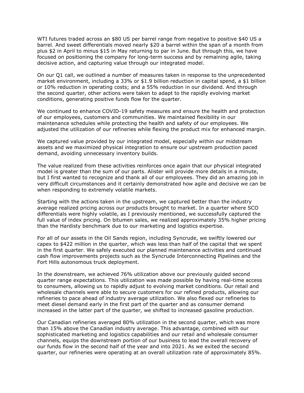WTI futures traded across an \$80 US per barrel range from negative to positive \$40 US a barrel. And sweet differentials moved nearly \$20 a barrel within the span of a month from plus \$2 in April to minus \$15 in May returning to par in June. But through this, we have focused on positioning the company for long-term success and by remaining agile, taking decisive action, and capturing value through our integrated model.

 On our Q1 call, we outlined a number of measures taken in response to the unprecedented market environment, including a 33% or \$1.9 billion reduction in capital spend, a \$1 billion or 10% reduction in operating costs; and a 55% reduction in our dividend. And through the second quarter, other actions were taken to adapt to the rapidly evolving market conditions, generating positive funds flow for the quarter.

 We continued to enhance COVID-19 safety measures and ensure the health and protection of our employees, customers and communities. We maintained flexibility in our maintenance schedules while protecting the health and safety of our employees. We adjusted the utilization of our refineries while flexing the product mix for enhanced margin.

 We captured value provided by our integrated model, especially within our midstream assets and we maximized physical integration to ensure our upstream production paced demand, avoiding unnecessary inventory builds.

 The value realized from these activities reinforces once again that our physical integrated model is greater than the sum of our parts. Alister will provide more details in a minute, but I first wanted to recognize and thank all of our employees. They did an amazing job in very difficult circumstances and it certainly demonstrated how agile and decisive we can be when responding to extremely volatile markets.

 Starting with the actions taken in the upstream, we captured better than the industry average realized pricing across our products brought to market. In a quarter where SCO differentials were highly volatile, as I previously mentioned, we successfully captured the full value of index pricing. On bitumen sales, we realized approximately 35% higher pricing than the Hardisty benchmark due to our marketing and logistics expertise.

 For all of our assets in the Oil Sands region, including Syncrude, we swiftly lowered our capex to \$422 million in the quarter, which was less than half of the capital that we spent in the first quarter. We safely executed our planned maintenance activities and continued cash flow improvements projects such as the Syncrude Interconnecting Pipelines and the Fort Hills autonomous truck deployment.

 In the downstream, we achieved 76% utilization above our previously guided second quarter range expectations. This utilization was made possible by having real-time access to consumers, allowing us to rapidly adjust to evolving market conditions. Our retail and wholesale channels were able to secure customers for our refined products, allowing our refineries to pace ahead of industry average utilization. We also flexed our refineries to meet diesel demand early in the first part of the quarter and as consumer demand increased in the latter part of the quarter, we shifted to increased gasoline production.

 Our Canadian refineries averaged 80% utilization in the second quarter, which was more than 15% above the Canadian industry average. This advantage, combined with our sophisticated marketing and logistics capabilities and our retail and wholesale consumer channels, equips the downstream portion of our business to lead the overall recovery of our funds flow in the second half of the year and into 2021. As we exited the second quarter, our refineries were operating at an overall utilization rate of approximately 85%.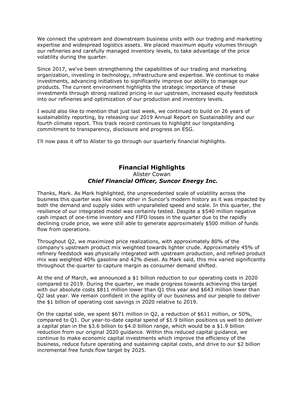We connect the upstream and downstream business units with our trading and marketing expertise and widespread logistics assets. We placed maximum equity volumes through our refineries and carefully managed inventory levels, to take advantage of the price volatility during the quarter.

 Since 2017, we've been strengthening the capabilities of our trading and marketing organization, investing in technology, infrastructure and expertise. We continue to make investments, advancing initiatives to significantly improve our ability to manage our products. The current environment highlights the strategic importance of these investments through strong realized pricing in our upstream, increased equity feedstock into our refineries and optimization of our production and inventory levels.

 I would also like to mention that just last week, we continued to build on 26 years of sustainability reporting, by releasing our 2019 Annual Report on Sustainability and our fourth climate report. This track record continues to highlight our longstanding commitment to transparency, disclosure and progress on ESG.

I'll now pass it off to Alister to go through our quarterly financial highlights.

# **Financial Highlights**

#### Alister Cowan  *Chief Financial Officer, Suncor Energy Inc.*

 Thanks, Mark. As Mark highlighted, the unprecedented scale of volatility across the business this quarter was like none other in Suncor's modern history as it was impacted by both the demand and supply sides with unparalleled speed and scale. In this quarter, the resilience of our integrated model was certainly tested. Despite a \$540 million negative cash impact of one-time inventory and FIFO losses in the quarter due to the rapidly declining crude price, we were still able to generate approximately \$500 million of funds flow from operations.

 Throughout Q2, we maximized price realizations, with approximately 80% of the company's upstream product mix weighted towards lighter crude. Approximately 45% of refinery feedstock was physically integrated with upstream production, and refined product mix was weighted 40% gasoline and 42% diesel. As Mark said, this mix varied significantly throughout the quarter to capture margin as consumer demand shifted.

 At the end of March, we announced a \$1 billion reduction to our operating costs in 2020 compared to 2019. During the quarter, we made progress towards achieving this target with our absolute costs \$811 million lower than Q1 this year and \$643 million lower than Q2 last year. We remain confident in the agility of our business and our people to deliver the \$1 billion of operating cost savings in 2020 relative to 2019.

 On the capital side, we spent \$671 million in Q2, a reduction of \$611 million, or 50%, compared to Q1. Our year-to-date capital spend of \$1.9 billion positions us well to deliver a capital plan in the \$3.6 billion to \$4.0 billion range, which would be a \$1.9 billion reduction from our original 2020 guidance. Within this reduced capital guidance, we continue to make economic capital investments which improve the efficiency of the business, reduce future operating and sustaining capital costs, and drive to our \$2 billion incremental free funds flow target by 2025.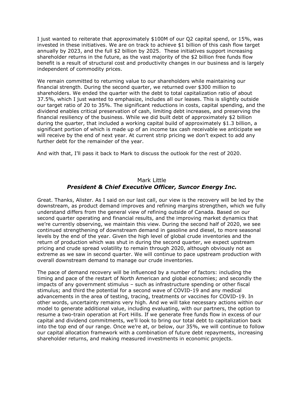I just wanted to reiterate that approximately \$100M of our Q2 capital spend, or 15%, was invested in these initiatives. We are on track to achieve \$1 billion of this cash flow target annually by 2023, and the full \$2 billion by 2025. These initiatives support increasing shareholder returns in the future, as the vast majority of the \$2 billion free funds flow benefit is a result of structural cost and productivity changes in our business and is largely independent of commodity prices.

 We remain committed to returning value to our shareholders while maintaining our financial strength. During the second quarter, we returned over \$300 million to shareholders. We ended the quarter with the debt to total capitalization ratio of about 37.5%, which I just wanted to emphasize, includes all our leases. This is slightly outside our target ratio of 20 to 35%. The significant reductions in costs, capital spending, and the dividend enables critical preservation of cash, limiting debt increases, and preserving the financial resiliency of the business. While we did built debt of approximately \$2 billion during the quarter, that included a working capital build of approximately \$1.3 billion, a significant portion of which is made up of an income tax cash receivable we anticipate we will receive by the end of next year. At current strip pricing we don't expect to add any further debt for the remainder of the year.

And with that, I'll pass it back to Mark to discuss the outlook for the rest of 2020.

## Mark Little  *President & Chief Executive Officer, Suncor Energy Inc.*

 Great. Thanks, Alister. As I said on our last call, our view is the recovery will be led by the downstream, as product demand improves and refining margins strengthen, which we fully understand differs from the general view of refining outside of Canada. Based on our second quarter operating and financial results, and the improving market dynamics that we're currently observing, we maintain this view. During the second half of 2020, we see continued strengthening of downstream demand in gasoline and diesel, to more seasonal levels by the end of the year. Given the high level of global crude inventories and the return of production which was shut in during the second quarter, we expect upstream pricing and crude spread volatility to remain through 2020, although obviously not as extreme as we saw in second quarter. We will continue to pace upstream production with overall downstream demand to manage our crude inventories.

 The pace of demand recovery will be influenced by a number of factors: including the timing and pace of the restart of North American and global economies; and secondly the impacts of any government stimulus – such as infrastructure spending or other fiscal stimulus; and third the potential for a second wave of COVID-19 and any medical advancements in the area of testing, tracing, treatments or vaccines for COVID-19. In other words, uncertainty remains very high. And we will take necessary actions within our model to generate additional value, including evaluating, with our partners, the option to resume a two-train operation at Fort Hills. If we generate free funds flow in excess of our capital and dividend commitments, we'll look to bring our total debt to capitalization back into the top end of our range. Once we're at, or below, our 35%, we will continue to follow our capital allocation framework with a combination of future debt repayments, increasing shareholder returns, and making measured investments in economic projects.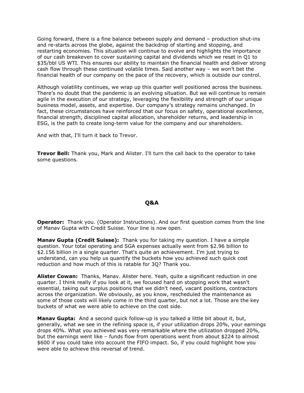Going forward, there is a fine balance between supply and demand – production shut-ins and re-starts across the globe, against the backdrop of starting and stopping, and restarting economies. This situation will continue to evolve and highlights the importance of our cash breakeven to cover sustaining capital and dividends which we reset in Q1 to \$35/bbl US WTI. This ensures our ability to maintain the financial health and deliver strong cash flow through these continued volatile times. Said another way – we won't bet the financial health of our company on the pace of the recovery, which is outside our control.

 Although volatility continues, we wrap up this quarter well positioned across the business. There's no doubt that the pandemic is an evolving situation. But we will continue to remain agile in the execution of our strategy, leveraging the flexibility and strength of our unique business model, assets, and expertise. Our company's strategy remains unchanged. In fact, these circumstances have reinforced that our focus on safety, operational excellence, financial strength, disciplined capital allocation, shareholder returns, and leadership in ESG, is the path to create long-term value for the company and our shareholders.

And with that, I'll turn it back to Trevor.

 **Trevor Bell:** Thank you, Mark and Alister. I'll turn the call back to the operator to take some questions.

### **Q&A**

**Operator:** Thank you. (Operator Instructions). And our first question comes from the line of Manav Gupta with Credit Suisse. Your line is now open.

 **Manav Gupta (Credit Suisse):** Thank you for taking my question. I have a simple question. Your total operating and SGA expenses actually went from \$2.96 billion to \$2.156 billion in a single quarter. That's quite an achievement. I'm just trying to understand, can you help us quantify the buckets how you achieved such quick cost reduction and how much of this is ratable for 3Q? Thank you.

 **Alister Cowan:** Thanks, Manav. Alister here. Yeah, quite a significant reduction in one quarter. I think really if you look at it, we focused hard on stopping work that wasn't essential, taking out surplus positions that we didn't need, vacant positions, contractors across the organization. We obviously, as you know, rescheduled the maintenance as some of those costs will likely come in the third quarter, but not a lot. Those are the key buckets of what we were able to achieve on the cost side.

 **Manav Gupta:** And a second quick follow-up is you talked a little bit about it, but, generally, what we see in the refining space is, if your utilization drops 20%, your earnings drops 40%. What you achieved was very remarkable where the utilization dropped 20%, but the earnings went like – funds flow from operations went from about \$224 to almost \$600 if you could take into account the FIFO impact. So, if you could highlight how you were able to achieve this reversal of trend.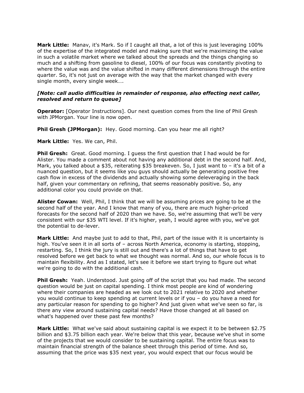**Mark Little:** Manav, it's Mark. So if I caught all that, a lot of this is just leveraging 100% of the expertise of the integrated model and making sure that we're maximizing the value in such a volatile market where we talked about the spreads and the things changing so much and a shifting from gasoline to diesel, 100% of our focus was constantly pivoting to where the value was and the value shifted in many different dimensions through the entire quarter. So, it's not just on average with the way that the market changed with every single month, every single week….

#### *[Note: call audio difficulties in remainder of response, also effecting next caller, resolved and return to queue]*

 **Operator:** [Operator Instructions]. Our next question comes from the line of Phil Gresh with JPMorgan. Your line is now open.

 **Phil Gresh (JPMorgan):** Hey. Good morning. Can you hear me all right?

**Mark Little:** Yes. We can, Phil.

 **Phil Gresh:** Great. Good morning. I guess the first question that I had would be for Alister. You made a comment about not having any additional debt in the second half. And, Mark, you talked about a \$35, reiterating \$35 breakeven. So, I just want to – it's a bit of a nuanced question, but it seems like you guys should actually be generating positive free cash flow in excess of the dividends and actually showing some deleveraging in the back half, given your commentary on refining, that seems reasonably positive. So, any additional color you could provide on that.

 **Alister Cowan:** Well, Phil, I think that we will be assuming prices are going to be at the second half of the year. And I know that many of you, there are much higher-priced forecasts for the second half of 2020 than we have. So, we're assuming that we'll be very consistent with our \$35 WTI level. If it's higher, yeah, I would agree with you, we've got the potential to de-lever.

 **Mark Little:** And maybe just to add to that, Phil, part of the issue with it is uncertainty is high. You've seen it in all sorts of – across North America, economy is starting, stopping, restarting. So, I think the jury is still out and there's a lot of things that have to get resolved before we get back to what we thought was normal. And so, our whole focus is to maintain flexibility. And as I stated, let's see it before we start trying to figure out what we're going to do with the additional cash.

 **Phil Gresh:** Yeah. Understood. Just going off of the script that you had made. The second question would be just on capital spending. I think most people are kind of wondering where their companies are headed as we look out to 2021 relative to 2020 and whether you would continue to keep spending at current levels or if you – do you have a need for any particular reason for spending to go higher? And just given what we've seen so far, is there any view around sustaining capital needs? Have those changed at all based on what's happened over these past few months?

 **Mark Little:** What we've said about sustaining capital is we expect it to be between \$2.75 billion and \$3.75 billion each year. We're below that this year, because we've shut in some of the projects that we would consider to be sustaining capital. The entire focus was to maintain financial strength of the balance sheet through this period of time. And so, assuming that the price was \$35 next year, you would expect that our focus would be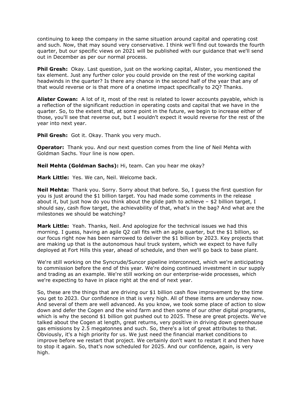continuing to keep the company in the same situation around capital and operating cost and such. Now, that may sound very conservative. I think we'll find out towards the fourth quarter, but our specific views on 2021 will be published with our guidance that we'll send out in December as per our normal process.

**Phil Gresh:** Okay. Last question, just on the working capital, Alister, you mentioned the tax element. Just any further color you could provide on the rest of the working capital headwinds in the quarter? Is there any chance in the second half of the year that any of that would reverse or is that more of a onetime impact specifically to 2Q? Thanks.

 **Alister Cowan:** A lot of it, most of the rest is related to lower accounts payable, which is a reflection of the significant reduction in operating costs and capital that we have in the quarter. So, to the extent that, at some point in the future, we begin to increase either of those, you'll see that reverse out, but I wouldn't expect it would reverse for the rest of the year into next year.

 **Phil Gresh:** Got it. Okay. Thank you very much.

 **Operator:** Thank you. And our next question comes from the line of Neil Mehta with Goldman Sachs. Your line is now open.

 **Neil Mehta (Goldman Sachs):** Hi, team. Can you hear me okay?

 **Mark Little:** Yes. We can, Neil. Welcome back.

 **Neil Mehta:** Thank you. Sorry. Sorry about that before. So, I guess the first question for you is just around the \$1 billion target. You had made some comments in the release about it, but just how do you think about the glide path to achieve – \$2 billion target, I should say, cash flow target, the achievability of that, what's in the bag? And what are the milestones we should be watching?

 **Mark Little:** Yeah. Thanks, Neil. And apologize for the technical issues we had this morning. I guess, having an agile Q2 call fits with an agile quarter, but the \$1 billion, so our focus right now has been narrowed to deliver the \$1 billion by 2023. Key projects that are making up that is the autonomous haul truck system, which we expect to have fully deployed at Fort Hills this year, ahead of schedule, and then we'll go back to base plant.

 We're still working on the Syncrude/Suncor pipeline interconnect, which we're anticipating to commission before the end of this year. We're doing continued investment in our supply and trading as an example. We're still working on our enterprise-wide processes, which we're expecting to have in place right at the end of next year.

 So, these are the things that are driving our \$1 billion cash flow improvement by the time you get to 2023. Our confidence in that is very high. All of these items are underway now. And several of them are well advanced. As you know, we took some place of action to slow down and defer the Cogen and the wind farm and then some of our other digital programs, which is why the second \$1 billion got pushed out to 2025. These are great projects. We've talked about the Cogen at length, great returns, very positive in driving down greenhouse gas emissions by 2.5 megatonnes and such. So, there's a lot of great attributes to that. Obviously, it's a high priority for us. We just need the financial market conditions to improve before we restart that project. We certainly don't want to restart it and then have to stop it again. So, that's now scheduled for 2025. And our confidence, again, is very high.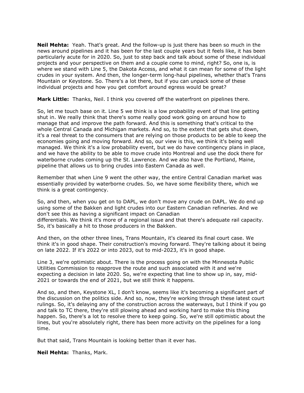**Neil Mehta:** Yeah. That's great. And the follow-up is just there has been so much in the news around pipelines and it has been for the last couple years but it feels like, it has been particularly acute for in 2020. So, just to step back and talk about some of these individual projects and your perspective on them and a couple come to mind, right? So, one is, is where we stand with Line 5, the Dakota Access, and what it can mean for some of the light crudes in your system. And then, the longer-term long-haul pipelines, whether that's Trans Mountain or Keystone. So. There's a lot there, but if you can unpack some of these individual projects and how you get comfort around egress would be great?

**Mark Little:** Thanks, Neil. I think you covered off the waterfront on pipelines there.

 So, let me touch base on it. Line 5 we think is a low probability event of that line getting shut in. We really think that there's some really good work going on around how to manage that and improve the path forward. And this is something that's critical to the whole Central Canada and Michigan markets. And so, to the extent that gets shut down, it's a real threat to the consumers that are relying on those products to be able to keep the economies going and moving forward. And so, our view is this, we think it's being well managed. We think it's a low probability event, but we do have contingency plans in place, and we have the ability to be able to move crude into Montreal and use the dock there for waterborne crudes coming up the St. Lawrence. And we also have the Portland, Maine, pipeline that allows us to bring crudes into Eastern Canada as well.

 Remember that when Line 9 went the other way, the entire Central Canadian market was essentially provided by waterborne crudes. So, we have some flexibility there, which we think is a great contingency.

 So, and then, when you get on to DAPL, we don't move any crude on DAPL. We do end up using some of the Bakken and light crudes into our Eastern Canadian refineries. And we don't see this as having a significant impact on Canadian differentials. We think it's more of a regional issue and that there's adequate rail capacity. So, it's basically a hit to those producers in the Bakken.

 And then, on the other three lines, Trans Mountain, it's cleared its final court case. We think it's in good shape. Their construction's moving forward. They're talking about it being on late 2022. If it's 2022 or into 2023, out to mid-2023, it's in good shape.

 Line 3, we're optimistic about. There is the process going on with the Minnesota Public Utilities Commission to reapprove the route and such associated with it and we're expecting a decision in late 2020. So, we're expecting that line to show up in, say, mid-2021 or towards the end of 2021, but we still think it happens.

 And so, and then, Keystone XL, I don't know, seems like it's becoming a significant part of the discussion on the politics side. And so, now, they're working through these latest court rulings. So, it's delaying any of the construction across the waterways, but I think if you go and talk to TC there, they're still plowing ahead and working hard to make this thing happen. So, there's a lot to resolve there to keep going. So, we're still optimistic about the lines, but you're absolutely right, there has been more activity on the pipelines for a long time.

But that said, Trans Mountain is looking better than it ever has.

**Neil Mehta:** Thanks, Mark.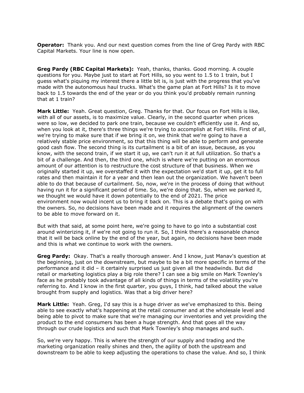**Operator:** Thank you. And our next question comes from the line of Greg Pardy with RBC Capital Markets. Your line is now open.

 **Greg Pardy (RBC Capital Markets):** Yeah, thanks, thanks. Good morning. A couple questions for you. Maybe just to start at Fort Hills, so you went to 1.5 to 1 train, but I guess what's piquing my interest there a little bit is, is just with the progress that you've made with the autonomous haul trucks. What's the game plan at Fort Hills? Is it to move back to 1.5 towards the end of the year or do you think you'd probably remain running that at 1 train?

 **Mark Little:** Yeah. Great question, Greg. Thanks for that. Our focus on Fort Hills is like, with all of our assets, is to maximize value. Clearly, in the second quarter when prices were so low, we decided to park one train, because we couldn't efficiently use it. And so, when you look at it, there's three things we're trying to accomplish at Fort Hills. First of all, we're trying to make sure that if we bring it on, we think that we're going to have a relatively stable price environment, so that this thing will be able to perform and generate good cash flow. The second thing is its curtailment is a bit of an issue, because, as you know, with the second train, if we start it up, we can't run it at full utilization. So that's a bit of a challenge. And then, the third one, which is where we're putting on an enormous amount of our attention is to restructure the cost structure of that business. When we originally started it up, we overstaffed it with the expectation we'd start it up, get it to full rates and then maintain it for a year and then lean out the organization. We haven't been able to do that because of curtailment. So, now, we're in the process of doing that without having run it for a significant period of time. So, we're doing that. So, when we parked it, we thought we would have it down potentially to the end of 2021. The price environment now would incent us to bring it back on. This is a debate that's going on with the owners. So, no decisions have been made and it requires the alignment of the owners to be able to move forward on it.

 But with that said, at some point here, we're going to have to go into a substantial cost around winterizing it, if we're not going to run it. So, I think there's a reasonable chance that it will be back online by the end of the year, but again, no decisions have been made and this is what we continue to work with the owners.

 **Greg Pardy:** Okay. That's a really thorough answer. And I know, just Manav's question at the beginning, just on the downstream, but maybe to be a bit more specific in terms of the performance and it did – it certainly surprised us just given all the headwinds. But did retail or marketing logistics play a big role there? I can see a big smile on Mark Townley's face as he probably took advantage of all kinds of things in terms of the volatility you're referring to. And I know in the first quarter, you guys, I think, had talked about the value brought from supply and logistics. Was that a big driver here?

 **Mark Little:** Yeah. Greg, I'd say this is a huge driver as we've emphasized to this. Being able to see exactly what's happening at the retail consumer and at the wholesale level and being able to pivot to make sure that we're managing our inventories and yet providing the product to the end consumers has been a huge strength. And that goes all the way through our crude logistics and such that Mark Townley's shop manages and such.

 So, we're very happy. This is where the strength of our supply and trading and the marketing organization really shines and then, the agility of both the upstream and downstream to be able to keep adjusting the operations to chase the value. And so, I think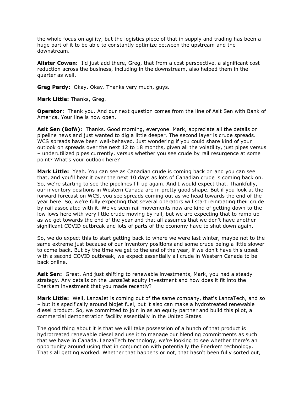the whole focus on agility, but the logistics piece of that in supply and trading has been a huge part of it to be able to constantly optimize between the upstream and the downstream.

 **Alister Cowan:** I'd just add there, Greg, that from a cost perspective, a significant cost reduction across the business, including in the downstream, also helped them in the quarter as well.

**Greg Pardy:** Okay. Okay. Thanks very much, guys.

**Mark Little:** Thanks, Greg.

 **Operator:** Thank you. And our next question comes from the line of Asit Sen with Bank of America. Your line is now open.

 **Asit Sen (BofA):** Thanks. Good morning, everyone. Mark, appreciate all the details on pipeline news and just wanted to dig a little deeper. The second layer is crude spreads. WCS spreads have been well-behaved. Just wondering if you could share kind of your outlook on spreads over the next 12 to 18 months, given all the volatility, just pipes versus – underutilized pipes currently, versus whether you see crude by rail resurgence at some point? What's your outlook here?

 **Mark Little:** Yeah. You can see as Canadian crude is coming back on and you can see that, and you'll hear it over the next 10 days as lots of Canadian crude is coming back on. So, we're starting to see the pipelines fill up again. And I would expect that. Thankfully, our inventory positions in Western Canada are in pretty good shape. But if you look at the forward forecast on WCS, you see spreads coming out as we head towards the end of the year here. So, we're fully expecting that several operators will start reinitiating their crude by rail associated with it. We've seen rail movements now are kind of getting down to the low lows here with very little crude moving by rail, but we are expecting that to ramp up as we get towards the end of the year and that all assumes that we don't have another significant COVID outbreak and lots of parts of the economy have to shut down again.

 So, we do expect this to start getting back to where we were last winter, maybe not to the same extreme just because of our inventory positions and some crude being a little slower to come back. But by the time we get to the end of the year, if we don't have this upset with a second COVID outbreak, we expect essentially all crude in Western Canada to be back online.

 **Asit Sen:** Great. And just shifting to renewable investments, Mark, you had a steady strategy. Any details on the LanzaJet equity investment and how does it fit into the Enerkem investment that you made recently?

 **Mark Little:** Well, LanzaJet is coming out of the same company, that's LanzaTech, and so – but it's specifically around biojet fuel, but it also can make a hydrotreated renewable diesel product. So, we committed to join in as an equity partner and build this pilot, a commercial demonstration facility essentially in the United States.

 The good thing about it is that we will take possession of a bunch of that product is hydrotreated renewable diesel and use it to manage our blending commitments as such that we have in Canada. LanzaTech technology, we're looking to see whether there's an opportunity around using that in conjunction with potentially the Enerkem technology. That's all getting worked. Whether that happens or not, that hasn't been fully sorted out,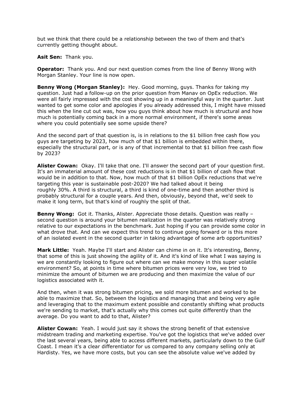but we think that there could be a relationship between the two of them and that's currently getting thought about.

**Asit Sen:** Thank you.

 **Operator:** Thank you. And our next question comes from the line of Benny Wong with Morgan Stanley. Your line is now open.

 **Benny Wong (Morgan Stanley):** Hey. Good morning, guys. Thanks for taking my question. Just had a follow-up on the prior question from Manav on OpEx reduction. We were all fairly impressed with the cost showing up in a meaningful way in the quarter. Just wanted to get some color and apologies if you already addressed this, I might have missed this when the line cut out was, how you guys think about how much is structural and how much is potentially coming back in a more normal environment, if there's some areas where you could potentially see some upside there?

 And the second part of that question is, is in relations to the \$1 billion free cash flow you guys are targeting by 2023, how much of that \$1 billion is embedded within there, especially the structural part, or is any of that incremental to that \$1 billion free cash flow by 2023?

 **Alister Cowan:** Okay. I'll take that one. I'll answer the second part of your question first. It's an immaterial amount of these cost reductions is in that \$1 billion of cash flow that would be in addition to that. Now, how much of that \$1 billion OpEx reductions that we're targeting this year is sustainable post-2020? We had talked about it being roughly 30%. A third is structural, a third is kind of one-time and then another third is probably structural for a couple years. And then, obviously, beyond that, we'd seek to make it long term, but that's kind of roughly the split of that.

 **Benny Wong:** Got it. Thanks, Alister. Appreciate those details. Question was really – second question is around your bitumen realization in the quarter was relatively strong relative to our expectations in the benchmark. Just hoping if you can provide some color in what drove that. And can we expect this trend to continue going forward or is this more of an isolated event in the second quarter in taking advantage of some arb opportunities?

 **Mark Little:** Yeah. Maybe I'll start and Alister can chime in on it. It's interesting, Benny, that some of this is just showing the agility of it. And it's kind of like what I was saying is we are constantly looking to figure out where can we make money in this super volatile environment? So, at points in time where bitumen prices were very low, we tried to minimize the amount of bitumen we are producing and then maximize the value of our logistics associated with it.

 And then, when it was strong bitumen pricing, we sold more bitumen and worked to be able to maximize that. So, between the logistics and managing that and being very agile and leveraging that to the maximum extent possible and constantly shifting what products we're sending to market, that's actually why this comes out quite differently than the average. Do you want to add to that, Alister?

 **Alister Cowan:** Yeah. I would just say it shows the strong benefit of that extensive midstream trading and marketing expertise. You've got the logistics that we've added over the last several years, being able to access different markets, particularly down to the Gulf Coast. I mean it's a clear differentiator for us compared to any company selling only at Hardisty. Yes, we have more costs, but you can see the absolute value we've added by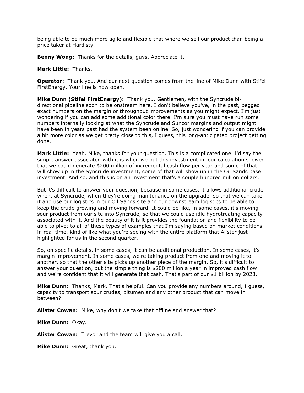being able to be much more agile and flexible that where we sell our product than being a price taker at Hardisty.

**Benny Wong:** Thanks for the details, guys. Appreciate it.

**Mark Little:** Thanks.

 **Operator:** Thank you. And our next question comes from the line of Mike Dunn with Stifel FirstEnergy. Your line is now open.

 **Mike Dunn (Stifel FirstEnergy):** Thank you. Gentlemen, with the Syncrude bi- directional pipeline soon to be onstream here, I don't believe you've, in the past, pegged exact numbers on the margin or throughput improvements as you might expect. I'm just wondering if you can add some additional color there. I'm sure you must have run some numbers internally looking at what the Syncrude and Suncor margins and output might have been in years past had the system been online. So, just wondering if you can provide a bit more color as we get pretty close to this, I guess, this long-anticipated project getting done.

 **Mark Little:** Yeah. Mike, thanks for your question. This is a complicated one. I'd say the simple answer associated with it is when we put this investment in, our calculation showed that we could generate \$200 million of incremental cash flow per year and some of that will show up in the Syncrude investment, some of that will show up in the Oil Sands base investment. And so, and this is on an investment that's a couple hundred million dollars.

 But it's difficult to answer your question, because in some cases, it allows additional crude when, at Syncrude, when they're doing maintenance on the upgrader so that we can take it and use our logistics in our Oil Sands site and our downstream logistics to be able to keep the crude growing and moving forward. It could be like, in some cases, it's moving sour product from our site into Syncrude, so that we could use idle hydrotreating capacity associated with it. And the beauty of it is it provides the foundation and flexibility to be able to pivot to all of these types of examples that I'm saying based on market conditions in real-time, kind of like what you're seeing with the entire platform that Alister just highlighted for us in the second quarter.

 So, on specific details, in some cases, it can be additional production. In some cases, it's margin improvement. In some cases, we're taking product from one and moving it to another, so that the other site picks up another piece of the margin. So, it's difficult to answer your question, but the simple thing is \$200 million a year in improved cash flow and we're confident that it will generate that cash. That's part of our \$1 billion by 2023.

 **Mike Dunn:** Thanks, Mark. That's helpful. Can you provide any numbers around, I guess, capacity to transport sour crudes, bitumen and any other product that can move in between?

**Alister Cowan:** Mike, why don't we take that offline and answer that?

**Mike Dunn:** Okay.

**Alister Cowan:** Trevor and the team will give you a call.

**Mike Dunn:** Great, thank you.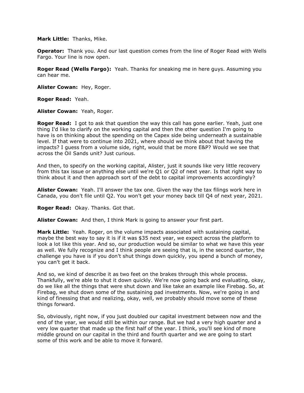#### **Mark Little:** Thanks, Mike.

 **Operator:** Thank you. And our last question comes from the line of Roger Read with Wells Fargo. Your line is now open.

 **Roger Read (Wells Fargo):** Yeah. Thanks for sneaking me in here guys. Assuming you can hear me.

**Alister Cowan:** Hey, Roger.

**Roger Read:** Yeah.

**Alister Cowan:** Yeah, Roger.

 **Roger Read:** I got to ask that question the way this call has gone earlier. Yeah, just one thing I'd like to clarify on the working capital and then the other question I'm going to have is on thinking about the spending on the Capex side being underneath a sustainable level. If that were to continue into 2021, where should we think about that having the impacts? I guess from a volume side, right, would that be more E&P? Would we see that across the Oil Sands unit? Just curious.

 And then, to specify on the working capital, Alister, just it sounds like very little recovery from this tax issue or anything else until we're Q1 or Q2 of next year. Is that right way to think about it and then approach sort of the debt to capital improvements accordingly?

 **Alister Cowan:** Yeah. I'll answer the tax one. Given the way the tax filings work here in Canada, you don't file until Q2. You won't get your money back till Q4 of next year, 2021.

**Roger Read:** Okay. Thanks. Got that.

**Alister Cowan:** And then, I think Mark is going to answer your first part.

 **Mark Little:** Yeah. Roger, on the volume impacts associated with sustaining capital, maybe the best way to say it is if it was \$35 next year, we expect across the platform to look a lot like this year. And so, our production would be similar to what we have this year as well. We fully recognize and I think people are seeing that is, in the second quarter, the challenge you have is if you don't shut things down quickly, you spend a bunch of money, you can't get it back.

 And so, we kind of describe it as two feet on the brakes through this whole process. Thankfully, we're able to shut it down quickly. We're now going back and evaluating, okay, do we like all the things that were shut down and like take an example like Firebag. So, at Firebag, we shut down some of the sustaining pad investments. Now, we're going in and kind of finessing that and realizing, okay, well, we probably should move some of these things forward.

 So, obviously, right now, if you just doubled our capital investment between now and the end of the year, we would still be within our range. But we had a very high quarter and a very low quarter that made up the first half of the year. I think, you'll see kind of more middle ground on our capital in the third and fourth quarter and we are going to start some of this work and be able to move it forward.